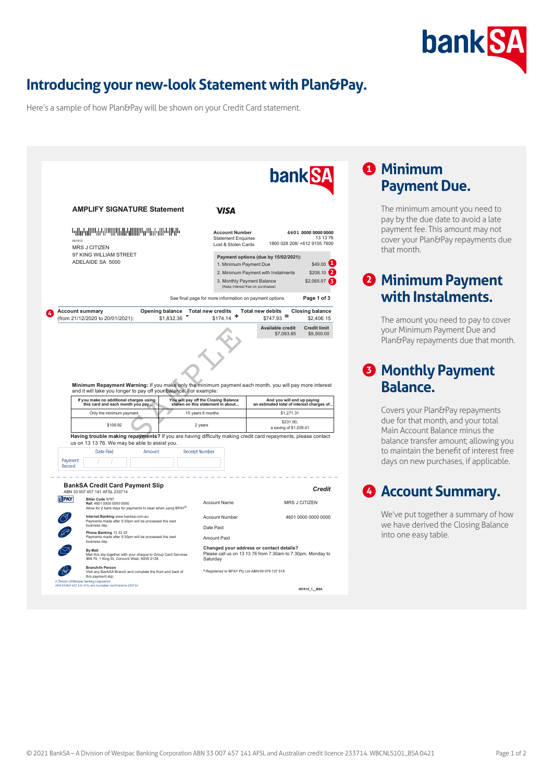

# **Introducing your new-look Statement with Plan&Pay.**

Here's a sample of how Plan&Pay will be shown on your Credit Card statement.

| <b>AMPLIFY SIGNATURE Statement</b>                                                                                                                                          |                                                                            |                                                                                                         |
|-----------------------------------------------------------------------------------------------------------------------------------------------------------------------------|----------------------------------------------------------------------------|---------------------------------------------------------------------------------------------------------|
|                                                                                                                                                                             | VISA                                                                       |                                                                                                         |
| <u> Կվիբնիայի կարողների կրությունների հ</u><br>001512<br>MRS J CITIZEN                                                                                                      | <b>Account Number</b><br><b>Statement Enquiries</b><br>Lost & Stolen Cards | 4601 0000 0000 0000<br>13 13 76<br>1800 028 208/ +612 9155 7800                                         |
| 97 KING WILLIAM STREET                                                                                                                                                      |                                                                            | Payment options (due by 15/02/2021):                                                                    |
| ADELAIDE SA 5000                                                                                                                                                            | 1. Minimum Payment Due                                                     | \$49.00                                                                                                 |
|                                                                                                                                                                             |                                                                            | \$208.10<br>2. Minimum Payment with Instalments                                                         |
|                                                                                                                                                                             |                                                                            | \$2,065.97<br>3. Monthly Payment Balance<br>(Keep interest free on purchases)                           |
|                                                                                                                                                                             | See final page for more information on payment options                     | Page 1 of 3                                                                                             |
| <b>Account summary</b><br>Opening balance<br>(from 21/12/2020 to 20/01/2021):<br>\$1.832.36                                                                                 | <b>Total new credits</b><br>\$174.14                                       | <b>Total new debits</b><br><b>Closing balance</b><br>$$747.93$ =<br>\$2,406.15                          |
|                                                                                                                                                                             |                                                                            | Available credit<br><b>Credit limit</b><br>\$7,093.85<br>\$9,500.00                                     |
|                                                                                                                                                                             |                                                                            |                                                                                                         |
|                                                                                                                                                                             |                                                                            |                                                                                                         |
|                                                                                                                                                                             |                                                                            |                                                                                                         |
|                                                                                                                                                                             |                                                                            |                                                                                                         |
| Minimum Repayment Warning: If you make only the minimum payment each month, you will pay more interest<br>and it will take you longer to pay off your balance. For example: |                                                                            |                                                                                                         |
|                                                                                                                                                                             |                                                                            |                                                                                                         |
| If you make no additional charges using<br>this card and each month you pay                                                                                                 | You will pay off the Closing Balance<br>shown on this statement in about   |                                                                                                         |
| Only the minimum payment<br>15 years 8 months                                                                                                                               |                                                                            | \$1,271.31                                                                                              |
| \$109.92<br>2 years                                                                                                                                                         |                                                                            | \$231.90<br>a saving of \$1,039.41                                                                      |
| Having trouble making repayments? If you are having difficulty making credit card repayments, please contact                                                                |                                                                            |                                                                                                         |
| us on 13 13 76. We may be able to assist you.<br>Amount                                                                                                                     |                                                                            |                                                                                                         |
| Date Paid<br><b>Receipt Number</b><br>Payment                                                                                                                               |                                                                            |                                                                                                         |
| Record                                                                                                                                                                      |                                                                            |                                                                                                         |
|                                                                                                                                                                             |                                                                            | And you will end up paying<br>an estimated total of interest charges of                                 |
| <b>BankSA Credit Card Payment Slip</b><br>ABN 33 007 457 141 AFSL 233714                                                                                                    |                                                                            | Credit                                                                                                  |
| <b>idPAY</b><br>Biller Code 9787<br>Ref: 4601 0000 0000 0000<br>Allow for 2 bank days for payments to clear when using BPAY®                                                | <b>Account Name</b>                                                        | <b>MRS J CITIZEN</b>                                                                                    |
| Internet Banking www.banksa.com.au<br>Payments made after 5:30pm will be processed the next                                                                                 | <b>Account Number</b>                                                      |                                                                                                         |
| business day.<br>Phone Banking 13 33 22<br>Payments made after 5:30pm will be processed the next                                                                            | Date Paid                                                                  |                                                                                                         |
| business day.                                                                                                                                                               | Amount Paid                                                                | 4601 0000 0000 0000                                                                                     |
| <b>By Mail</b><br>Mail this slip together with your cheque to Group Card Services<br>IBN 79, 1 King St, Concord West, NSW 2138.                                             | Saturday                                                                   | Changed your address or contact details?<br>Please call us on 13 13 76 from 7.30am to 7.30pm, Monday to |
| Branch/In Person<br>Visit any BankSA Branch and complete the front and back of<br>this payment slip.<br>A Division of Westpac Banking Corporation                           | <sup>®</sup> Registered to BPAY Pty Ltd ABN 69 079 137 518.                |                                                                                                         |

## **<sup>1</sup> Minimum Payment Due.**

The minimum amount you need to pay by the due date to avoid a late payment fee. This amount may not cover your Plan&Pay repayments due that month.

## **2 Minimum Payment with Instalments.**

The amount you need to pay to cover your Minimum Payment Due and Plan&Pay repayments due that month.

#### **<sup>3</sup> Monthly Payment Balance.**

Covers your Plan&Pay repayments due for that month, and your total Main Account Balance minus the balance transfer amount; allowing you to maintain the benefit of interest free days on new purchases, if applicable.

#### **<sup>4</sup> Account Summary.**

We've put together a summary of how we have derived the Closing Balance into one easy table.